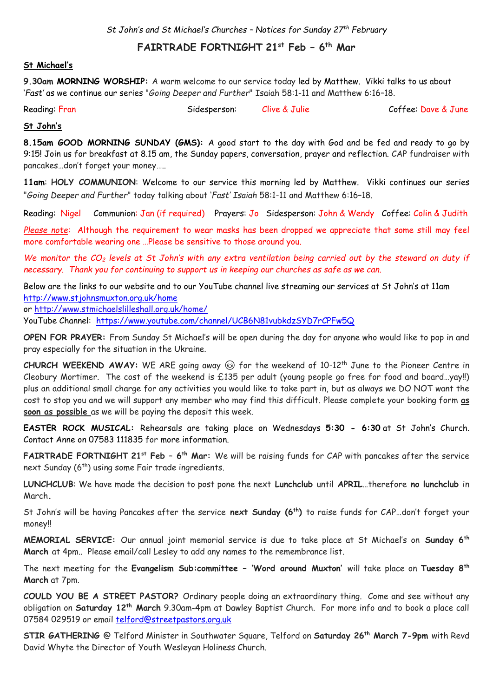*St John's and St Michael's Churches – Notices for Sunday 27 th February*

# **FAIRTRADE FORTNIGHT 21st Feb – 6 th Mar**

### **St Michael's**

**9.30am MORNING WORSHIP:** A warm welcome to our service today led by Matthew. Vikki talks to us about '*Fast'* as we continue our series "*Going Deeper and Further*" Isaiah 58:1-11 and Matthew 6:16–18.

| Reading: Fran | Sidesperson: | Clive & Julie | Coffee: Dave & June |
|---------------|--------------|---------------|---------------------|
|               |              |               |                     |

#### **St John's**

**8.15am GOOD MORNING SUNDAY (GMS):** A good start to the day with God and be fed and ready to go by 9:15! Join us for breakfast at 8.15 am, the Sunday papers, conversation, prayer and reflection. CAP fundraiser with pancakes…don't forget your money…..

**11am**: **HOLY COMMUNION**: Welcome to our service this morning led by Matthew. Vikki continues our series "*Going Deeper and Further*" today talking about '*Fast' Isaiah* 58:1-11 and Matthew 6:16–18.

Reading: Nigel Communion: Jan (if required) Prayers: Jo Sidesperson: John & Wendy Coffee: Colin & Judith

*Please note:* Although the requirement to wear masks has been dropped we appreciate that some still may feel more comfortable wearing one …Please be sensitive to those around you.

*We monitor the CO<sup>2</sup> levels at St John's with any extra ventilation being carried out by the steward on duty if necessary. Thank you for continuing to support us in keeping our churches as safe as we can.* 

Below are the links to our website and to our YouTube channel live streaming our services at St John's at 11am

<http://www.stjohnsmuxton.org.uk/home>

or<http://www.stmichaelslilleshall.org.uk/home/>

YouTube Channel: <https://www.youtube.com/channel/UCB6N81vubkdzSYD7rCPFw5Q>

**OPEN FOR PRAYER:** From Sunday St Michael's will be open during the day for anyone who would like to pop in and pray especially for the situation in the Ukraine.

**CHURCH WEEKEND AWAY:** WE ARE going away for the weekend of 10-12th June to the Pioneer Centre in Cleobury Mortimer. The cost of the weekend is £135 per adult (young people go free for food and board…yay!!) plus an additional small charge for any activities you would like to take part in, but as always we DO NOT want the cost to stop you and we will support any member who may find this difficult. Please complete your booking form **as soon as possible** as we will be paying the deposit this week.

**EASTER ROCK MUSICAL:** Rehearsals are taking place on Wednesdays **5:30 - 6:30** at St John's Church. Contact Anne on 07583 111835 for more information.

**FAIRTRADE FORTNIGHT 21st Feb – 6 th Mar:** We will be raising funds for CAP with pancakes after the service next Sunday  $(6^{th})$  using some Fair trade ingredients.

**LUNCHCLUB**: We have made the decision to post pone the next **Lunchclub** until **APRIL**…therefore **no lunchclub** in March**.**

St John's will be having Pancakes after the service **next Sunday (6th)** to raise funds for CAP…don't forget your money!!

**MEMORIAL SERVICE:** Our annual joint memorial service is due to take place at St Michael's on **Sunday 6th March** at 4pm.. Please email/call Lesley to add any names to the remembrance list.

The next meeting for the **Evangelism Sub:committee – 'Word around Muxton'** will take place on **Tuesday 8th March** at 7pm.

**COULD YOU BE A STREET PASTOR?** Ordinary people doing an extraordinary thing. Come and see without any obligation on **Saturday 12th March** 9.30am-4pm at Dawley Baptist Church. For more info and to book a place call 07584 029519 or email [telford@streetpastors.org.uk](mailto:telford@streetpastors.org.uk)

**STIR GATHERING** @ Telford Minister in Southwater Square, Telford on **Saturday 26th March 7-9pm** with Revd David Whyte the Director of Youth Wesleyan Holiness Church.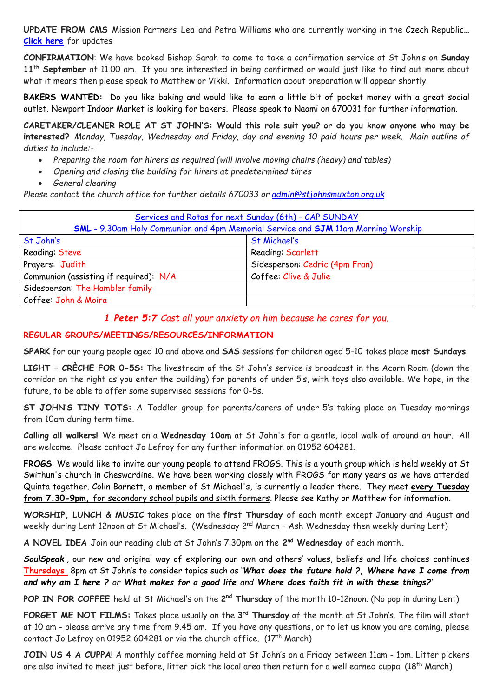**UPDATE FROM CMS** Mission Partners Lea and Petra Williams who are currently working in the Czech Republic**… [Click here](https://www.facebook.com/groups/2816092355275198/permalink/3099353776949053/?sfnsn=scwspmo&ref=share)** for updates

**CONFIRMATION**: We have booked Bishop Sarah to come to take a confirmation service at St John's on **Sunday 11th September** at 11.00 am. If you are interested in being confirmed or would just like to find out more about what it means then please speak to Matthew or Vikki. Information about preparation will appear shortly.

**BAKERS WANTED:** Do you like baking and would like to earn a little bit of pocket money with a great social outlet. Newport Indoor Market is looking for bakers. Please speak to Naomi on 670031 for further information.

**CARETAKER/CLEANER ROLE AT ST JOHN'S: Would this role suit you? or do you know anyone who may be interested?** *Monday, Tuesday, Wednesday and Friday, day and evening 10 paid hours per week. Main outline of duties to include:-*

- *Preparing the room for hirers as required (will involve moving chairs (heavy) and tables)*
- *Opening and closing the building for hirers at predetermined times*
- *General cleaning*

*Please contact the church office for further details 670033 or [admin@stjohnsmuxton.org.uk](mailto:admin@stjohnsmuxton.org.uk)*

| Services and Rotas for next Sunday (6th) - CAP SUNDAY<br><b>SML</b> - 9.30am Holy Communion and 4pm Memorial Service and <b>SJM</b> 11am Morning Worship |                                |  |  |
|----------------------------------------------------------------------------------------------------------------------------------------------------------|--------------------------------|--|--|
| St John's                                                                                                                                                | St Michael's                   |  |  |
| Reading: Steve                                                                                                                                           | Reading Scarlett               |  |  |
| Prayers: Judith                                                                                                                                          | Sidesperson: Cedric (4pm Fran) |  |  |
| Communion (assisting if required): N/A                                                                                                                   | Coffee: Clive & Julie          |  |  |
| Sidesperson: The Hambler family                                                                                                                          |                                |  |  |
| Coffee: John & Moira                                                                                                                                     |                                |  |  |

### *1 Peter 5:7 Cast all your anxiety on him because he cares for you*.

### **REGULAR GROUPS/MEETINGS/RESOURCES/INFORMATION**

**SPARK** for our young people aged 10 and above and **SAS** sessions for children aged 5-10 takes place **most Sundays**.

**LIGHT – CRÈCHE FOR 0-5S:** The livestream of the St John's service is broadcast in the Acorn Room (down the corridor on the right as you enter the building) for parents of under 5's, with toys also available. We hope, in the future, to be able to offer some supervised sessions for 0-5s.

**ST JOHN'S TINY TOTS:** A Toddler group for parents/carers of under 5's taking place on Tuesday mornings from 10am during term time.

**Calling all walkers!** We meet on a **Wednesday 10am** at St John's for a gentle, local walk of around an hour. All are welcome. Please contact Jo Lefroy for any further information on 01952 604281.

**FROGS**: We would like to invite our young people to attend FROGS. This is a youth group which is held weekly at St Swithun's church in Cheswardine. We have been working closely with FROGS for many years as we have attended Quinta together. Colin Barnett, a member of St Michael's, is currently a leader there. They meet **every Tuesday from 7.30-9pm,** for secondary school pupils and sixth formers. Please see Kathy or Matthew for information.

**WORSHIP, LUNCH & MUSIC** takes place on the **first Thursday** of each month except January and August and weekly during Lent 12noon at St Michael's. (Wednesday 2<sup>nd</sup> March - Ash Wednesday then weekly during Lent)

**A NOVEL IDEA** Join our reading club at St John's 7.30pm on the **2 nd Wednesday** of each month**.**

*SoulSpeak* , our new and original way of exploring our own and others' values, beliefs and life choices continues **Thursdays** 8pm at St John's to consider topics such as '*What does the future hold ?, Where have I come from and why am I here ? or What makes for a good life and Where does faith fit in with these things?'*

**POP IN FOR COFFEE** held at St Michael's on the 2<sup>nd</sup> Thursday of the month 10-12noon. (No pop in during Lent)

**FORGET ME NOT FILMS:** Takes place usually on the **3 rd Thursday** of the month at St John's. The film will start at 10 am - please arrive any time from 9.45 am. If you have any questions, or to let us know you are coming, please contact Jo Lefroy on 01952 604281 or via the church office.  $(17<sup>th</sup> March)$ 

**JOIN US 4 A CUPPA!** A monthly coffee morning held at St John's on a Friday between 11am - 1pm. Litter pickers are also invited to meet just before, litter pick the local area then return for a well earned cuppa! (18<sup>th</sup> March)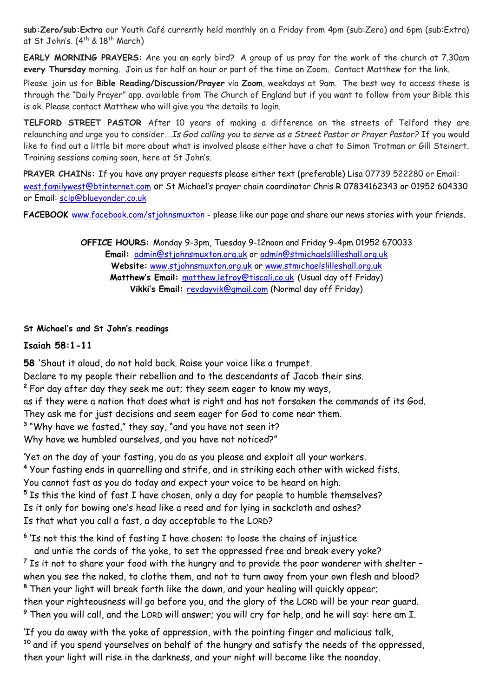**sub:Zero/sub:Extra** our Youth Café currently held monthly on a Friday from 4pm (sub:Zero) and 6pm (sub:Extra) at St John's. (4<sup>th</sup> & 18<sup>th</sup> March)

**EARLY MORNING PRAYERS:** Are you an early bird? A group of us pray for the work of the church at 7.30am **every Thursday** morning. Join us for half an hour or part of the time on Zoom. Contact Matthew for the link.

Please join us for **Bible Reading/Discussion/Prayer** via **Zoom**, weekdays at 9am. The best way to access these is through the "Daily Prayer" app. available from The Church of England but if you want to follow from your Bible this is ok. Please contact Matthew who will give you the details to login.

**TELFORD STREET PASTOR** After 10 years of making a difference on the streets of Telford they are relaunching and urge you to consider….*Is God calling you to serve as a Street Pastor or Prayer Pastor?* If you would like to find out a little bit more about what is involved please either have a chat to Simon Trotman or Gill Steinert. Training sessions coming soon, here at St John's.

**PRAYER CHAINs:** If you have any prayer requests please either text (preferable) Lisa 07739 522280 or Email: [west.familywest@btinternet.com](mailto:west.familywest@btinternet.com) or St Michael's prayer chain coordinator Chris R 07834162343 or 01952 604330 or Email: [scip@blueyonder.co.uk](mailto:scip@blueyonder.co.uk)

FACEBOOK [www.facebook.com/stjohnsmuxton](http://www.facebook.com/stjohnsmuxton) - please like our page and share our news stories with your friends.

**OFFICE HOURS:** Monday 9-3pm, Tuesday 9-12noon and Friday 9-4pm 01952 670033 **Email:** admin[@stjohnsmuxton.o](http://stjohnsmuxton/)rg.uk or [admin@stmichaelslilleshall.org.uk](mailto:admin@stmichaelslilleshall.org.uk) **Website:** [www.stjohnsmuxton.org.uk](http://www.stjohnsmuxton.org.uk/) or www.stmichaelslilleshall.org.uk **Matthew's Email:** [matthew.lefroy@tiscali.co.uk](mailto:matthew.lefroy@tiscali.co.uk) (Usual day off Friday) **Vikki's Email:** [revdayvik@gmail.com](mailto:revdayvik@gmail.com) (Normal day off Friday)

### **St Michael's and St John's readings**

### **Isaiah 58:1-11**

**58** 'Shout it aloud, do not hold back. Raise your voice like a trumpet.

Declare to my people their rebellion and to the descendants of Jacob their sins.

**<sup>2</sup>** For day after day they seek me out; they seem eager to know my ways,

as if they were a nation that does what is right and has not forsaken the commands of its God.

They ask me for just decisions and seem eager for God to come near them.

**3** "Why have we fasted," they say, "and you have not seen it?

Why have we humbled ourselves, and you have not noticed?"

'Yet on the day of your fasting, you do as you please and exploit all your workers. **<sup>4</sup>** Your fasting ends in quarrelling and strife, and in striking each other with wicked fists. You cannot fast as you do today and expect your voice to be heard on high. **<sup>5</sup>** Is this the kind of fast I have chosen, only a day for people to humble themselves? Is it only for bowing one's head like a reed and for lying in sackcloth and ashes? Is that what you call a fast, a day acceptable to the LORD?

**6** 'Is not this the kind of fasting I have chosen: to loose the chains of injustice

 and untie the cords of the yoke, to set the oppressed free and break every yoke? **<sup>7</sup>** Is it not to share your food with the hungry and to provide the poor wanderer with shelter – when you see the naked, to clothe them, and not to turn away from your own flesh and blood? **<sup>8</sup>** Then your light will break forth like the dawn, and your healing will quickly appear; then your righteousness will go before you, and the glory of the LORD will be your rear guard. **<sup>9</sup>** Then you will call, and the LORD will answer; you will cry for help, and he will say: here am I.

'If you do away with the yoke of oppression, with the pointing finger and malicious talk, **<sup>10</sup>** and if you spend yourselves on behalf of the hungry and satisfy the needs of the oppressed, then your light will rise in the darkness, and your night will become like the noonday.